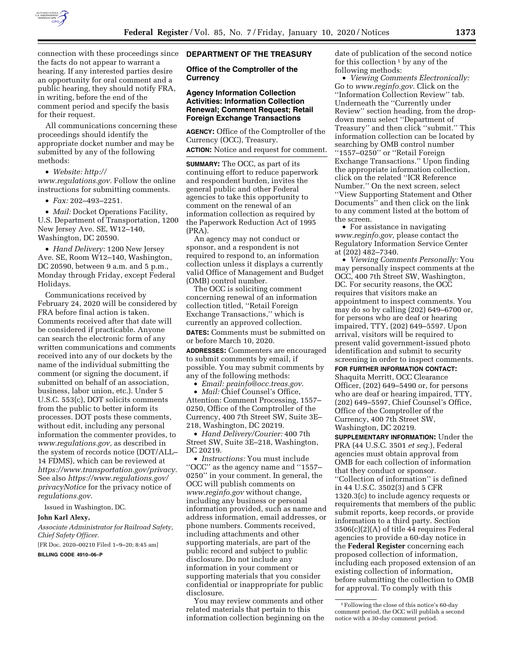

connection with these proceedings since the facts do not appear to warrant a hearing. If any interested parties desire an opportunity for oral comment and a public hearing, they should notify FRA, in writing, before the end of the comment period and specify the basis for their request.

All communications concerning these proceedings should identify the appropriate docket number and may be submitted by any of the following methods:

• *Website: [http://](http://www.regulations.gov) [www.regulations.gov.](http://www.regulations.gov)* Follow the online instructions for submitting comments.

• *Fax:* 202–493–2251.

• *Mail:* Docket Operations Facility, U.S. Department of Transportation, 1200 New Jersey Ave. SE, W12–140, Washington, DC 20590.

• *Hand Delivery:* 1200 New Jersey Ave. SE, Room W12–140, Washington, DC 20590, between 9 a.m. and 5 p.m., Monday through Friday, except Federal Holidays.

Communications received by February 24, 2020 will be considered by FRA before final action is taken. Comments received after that date will be considered if practicable. Anyone can search the electronic form of any written communications and comments received into any of our dockets by the name of the individual submitting the comment (or signing the document, if submitted on behalf of an association, business, labor union, etc.). Under 5 U.S.C. 553(c), DOT solicits comments from the public to better inform its processes. DOT posts these comments, without edit, including any personal information the commenter provides, to *[www.regulations.gov,](http://www.regulations.gov)* as described in the system of records notice (DOT/ALL– 14 FDMS), which can be reviewed at *[https://www.transportation.gov/privacy.](https://www.transportation.gov/privacy)*  See also *[https://www.regulations.gov/](https://www.regulations.gov/privacyNotice)  [privacyNotice](https://www.regulations.gov/privacyNotice)* for the privacy notice of *regulations.gov.* 

Issued in Washington, DC.

#### **John Karl Alexy,**

*Associate Administrator for Railroad Safety, Chief Safety Officer.* 

[FR Doc. 2020–00210 Filed 1–9–20; 8:45 am]

## **BILLING CODE 4910–06–P**

#### **DEPARTMENT OF THE TREASURY**

**Office of the Comptroller of the Currency** 

## **Agency Information Collection Activities: Information Collection Renewal; Comment Request; Retail Foreign Exchange Transactions**

**AGENCY:** Office of the Comptroller of the Currency (OCC), Treasury.

**ACTION:** Notice and request for comment.

**SUMMARY:** The OCC, as part of its continuing effort to reduce paperwork and respondent burden, invites the general public and other Federal agencies to take this opportunity to comment on the renewal of an information collection as required by the Paperwork Reduction Act of 1995 (PRA).

An agency may not conduct or sponsor, and a respondent is not required to respond to, an information collection unless it displays a currently valid Office of Management and Budget (OMB) control number.

The OCC is soliciting comment concerning renewal of an information collection titled, ''Retail Foreign Exchange Transactions,'' which is currently an approved collection. **DATES:** Comments must be submitted on or before March 10, 2020.

**ADDRESSES:** Commenters are encouraged to submit comments by email, if possible. You may submit comments by any of the following methods:

• *Email: [prainfo@occ.treas.gov](mailto:prainfo@occ.treas.gov)*.

• *Mail:* Chief Counsel's Office, Attention: Comment Processing, 1557– 0250, Office of the Comptroller of the Currency, 400 7th Street SW, Suite 3E– 218, Washington, DC 20219.

• *Hand Delivery/Courier:* 400 7th Street SW, Suite 3E–218, Washington, DC 20219.

• *Instructions:* You must include ''OCC'' as the agency name and ''1557– 0250'' in your comment. In general, the OCC will publish comments on *[www.reginfo.gov](http://www.reginfo.gov)* without change, including any business or personal information provided, such as name and address information, email addresses, or phone numbers. Comments received, including attachments and other supporting materials, are part of the public record and subject to public disclosure. Do not include any information in your comment or supporting materials that you consider confidential or inappropriate for public disclosure.

You may review comments and other related materials that pertain to this information collection beginning on the date of publication of the second notice for this collection  $1$  by any of the following methods:

• *Viewing Comments Electronically:*  Go to *[www.reginfo.gov.](http://www.reginfo.gov)* Click on the ''Information Collection Review'' tab. Underneath the ''Currently under Review'' section heading, from the dropdown menu select ''Department of Treasury'' and then click ''submit.'' This information collection can be located by searching by OMB control number ''1557–0250'' or ''Retail Foreign Exchange Transactions.'' Upon finding the appropriate information collection, click on the related ''ICR Reference Number.'' On the next screen, select ''View Supporting Statement and Other Documents'' and then click on the link to any comment listed at the bottom of the screen.

• For assistance in navigating *[www.reginfo.gov,](http://www.reginfo.gov)* please contact the Regulatory Information Service Center at (202) 482–7340.

• *Viewing Comments Personally:* You may personally inspect comments at the OCC, 400 7th Street SW, Washington, DC. For security reasons, the OCC requires that visitors make an appointment to inspect comments. You may do so by calling (202) 649–6700 or, for persons who are deaf or hearing impaired, TTY, (202) 649–5597. Upon arrival, visitors will be required to present valid government-issued photo identification and submit to security screening in order to inspect comments.

**FOR FURTHER INFORMATION CONTACT:** 

Shaquita Merritt, OCC Clearance Officer, (202) 649–5490 or, for persons who are deaf or hearing impaired, TTY, (202) 649–5597, Chief Counsel's Office, Office of the Comptroller of the Currency, 400 7th Street SW, Washington, DC 20219.

**SUPPLEMENTARY INFORMATION:** Under the PRA (44 U.S.C. 3501 *et seq.*), Federal agencies must obtain approval from OMB for each collection of information that they conduct or sponsor. ''Collection of information'' is defined in 44 U.S.C. 3502(3) and 5 CFR 1320.3(c) to include agency requests or requirements that members of the public submit reports, keep records, or provide information to a third party. Section 3506(c)(2)(A) of title 44 requires Federal agencies to provide a 60-day notice in the **Federal Register** concerning each proposed collection of information, including each proposed extension of an existing collection of information, before submitting the collection to OMB for approval. To comply with this

<sup>1</sup>Following the close of this notice's 60-day comment period, the OCC will publish a second notice with a 30-day comment period.